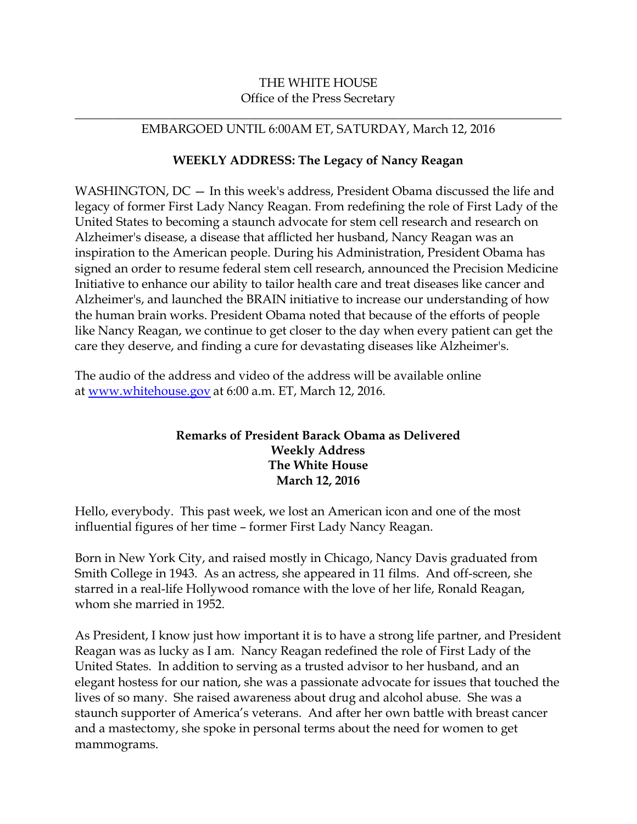## THE WHITE HOUSE Office of the Press Secretary

## \_\_\_\_\_\_\_\_\_\_\_\_\_\_\_\_\_\_\_\_\_\_\_\_\_\_\_\_\_\_\_\_\_\_\_\_\_\_\_\_\_\_\_\_\_\_\_\_\_\_\_\_\_\_\_\_\_\_\_\_\_\_\_\_\_\_\_\_\_\_\_\_\_\_\_\_\_\_ EMBARGOED UNTIL 6:00AM ET, SATURDAY, March 12, 2016

## **WEEKLY ADDRESS: The Legacy of Nancy Reagan**

WASHINGTON, DC — In this week's address, President Obama discussed the life and legacy of former First Lady Nancy Reagan. From redefining the role of First Lady of the United States to becoming a staunch advocate for stem cell research and research on Alzheimer's disease, a disease that afflicted her husband, Nancy Reagan was an inspiration to the American people. During his Administration, President Obama has signed an order to resume federal stem cell research, announced the Precision Medicine Initiative to enhance our ability to tailor health care and treat diseases like cancer and Alzheimer's, and launched the BRAIN initiative to increase our understanding of how the human brain works. President Obama noted that because of the efforts of people like Nancy Reagan, we continue to get closer to the day when every patient can get the care they deserve, and finding a cure for devastating diseases like Alzheimer's.

The audio of the address and video of the address will be available online at [www.whitehouse.gov](http://www.whitehouse.gov/) at 6:00 a.m. ET, March 12, 2016.

## **Remarks of President Barack Obama as Delivered Weekly Address The White House March 12, 2016**

Hello, everybody. This past week, we lost an American icon and one of the most influential figures of her time – former First Lady Nancy Reagan.

Born in New York City, and raised mostly in Chicago, Nancy Davis graduated from Smith College in 1943. As an actress, she appeared in 11 films. And off-screen, she starred in a real-life Hollywood romance with the love of her life, Ronald Reagan, whom she married in 1952.

As President, I know just how important it is to have a strong life partner, and President Reagan was as lucky as I am. Nancy Reagan redefined the role of First Lady of the United States. In addition to serving as a trusted advisor to her husband, and an elegant hostess for our nation, she was a passionate advocate for issues that touched the lives of so many. She raised awareness about drug and alcohol abuse. She was a staunch supporter of America's veterans. And after her own battle with breast cancer and a mastectomy, she spoke in personal terms about the need for women to get mammograms.